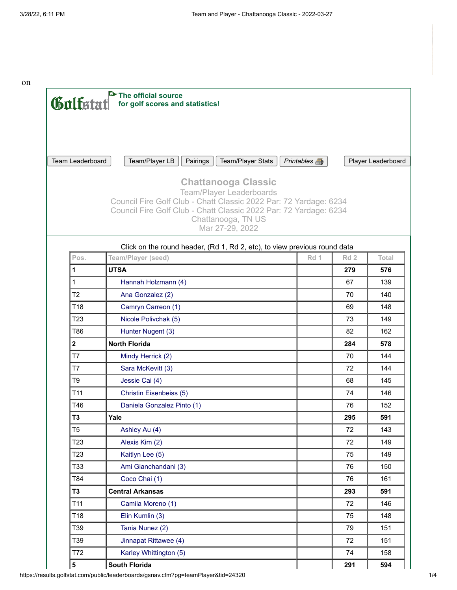on



| Pos.            | Team/Player (seed)         | Rd 1 | Rd <sub>2</sub> | Total |
|-----------------|----------------------------|------|-----------------|-------|
| 1               | <b>UTSA</b>                |      | 279             | 576   |
| $\mathbf{1}$    | Hannah Holzmann (4)        |      | 67              | 139   |
| T <sub>2</sub>  | Ana Gonzalez (2)           |      | 70              | 140   |
| T18             | Camryn Carreon (1)         |      | 69              | 148   |
| T <sub>23</sub> | Nicole Polivchak (5)       |      | 73              | 149   |
| T86             | Hunter Nugent (3)          |      | 82              | 162   |
| $\mathbf{2}$    | <b>North Florida</b>       |      | 284             | 578   |
| T7              | Mindy Herrick (2)          |      | 70              | 144   |
| T7              | Sara McKevitt (3)          |      | 72              | 144   |
| T <sub>9</sub>  | Jessie Cai (4)             |      | 68              | 145   |
| T11             | Christin Eisenbeiss (5)    |      | 74              | 146   |
| T46             | Daniela Gonzalez Pinto (1) |      | 76              | 152   |
| T <sub>3</sub>  | Yale                       |      | 295             | 591   |
| T <sub>5</sub>  | Ashley Au (4)              |      | 72              | 143   |
| T <sub>23</sub> | Alexis Kim (2)             |      | 72              | 149   |
| T <sub>23</sub> | Kaitlyn Lee (5)            |      | 75              | 149   |
| T33             | Ami Gianchandani (3)       |      | 76              | 150   |
| T84             | Coco Chai (1)              |      | 76              | 161   |
| T <sub>3</sub>  | <b>Central Arkansas</b>    |      | 293             | 591   |
| T <sub>11</sub> | Camila Moreno (1)          |      | 72              | 146   |
| T18             | Elin Kumlin (3)            |      | 75              | 148   |
| T39             | Tania Nunez (2)            |      | 79              | 151   |
| T39             | Jinnapat Rittawee (4)      |      | 72              | 151   |
| T72             | Karley Whittington (5)     |      | 74              | 158   |
| 5               | <b>South Florida</b>       |      | 291             | 594   |

https://results.golfstat.com/public/leaderboards/gsnav.cfm?pg=teamPlayer&tid=24320 1/4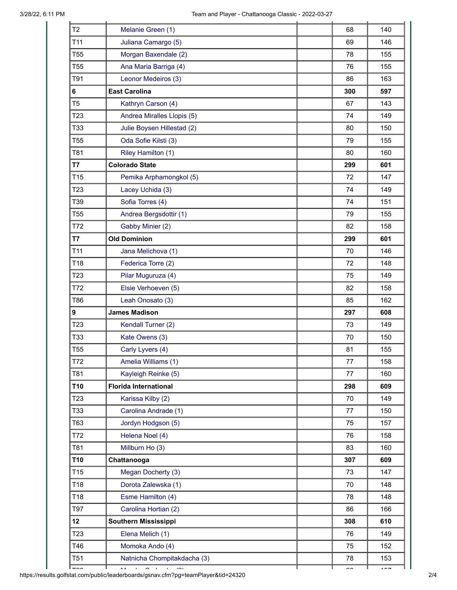| T <sub>2</sub>   | Melanie Green (1)            | 68  | 140 |
|------------------|------------------------------|-----|-----|
| T11              | Juliana Camargo (5)          | 69  | 146 |
| T <sub>55</sub>  | Morgan Baxendale (2)         | 78  | 155 |
| T <sub>55</sub>  | Ana Maria Barriga (4)        | 76  | 155 |
| T91              | Leonor Medeiros (3)          | 86  | 163 |
| 6                | <b>East Carolina</b>         | 300 | 597 |
| T <sub>5</sub>   | Kathryn Carson (4)           | 67  | 143 |
| T <sub>23</sub>  | Andrea Miralles Llopis (5)   | 74  | 149 |
| T33              | Julie Boysen Hillestad (2)   | 80  | 150 |
| T <sub>55</sub>  | Oda Sofie Kilsti (3)         | 79  | 155 |
| T81              | Riley Hamilton (1)           | 80  | 160 |
| T7               | <b>Colorado State</b>        | 299 | 601 |
| T <sub>15</sub>  | Pemika Arphamongkol (5)      | 72  | 147 |
| T <sub>23</sub>  | Lacey Uchida (3)             | 74  | 149 |
| T39              | Sofia Torres (4)             | 74  | 151 |
| T <sub>55</sub>  | Andrea Bergsdottir (1)       | 79  | 155 |
| T72              | Gabby Minier (2)             | 82  | 158 |
| T7               | <b>Old Dominion</b>          | 299 | 601 |
| T11              | Jana Melichova (1)           | 70  | 146 |
| T18              | Federica Torre (2)           | 72  | 148 |
| T <sub>23</sub>  | Pilar Muguruza (4)           | 75  | 149 |
| T72              | Elsie Verhoeven (5)          | 82  | 158 |
| T86              | Leah Onosato (3)             | 85  | 162 |
| $\boldsymbol{9}$ | <b>James Madison</b>         | 297 | 608 |
| T <sub>23</sub>  | Kendall Turner (2)           | 73  | 149 |
| T33              | Kate Owens (3)               | 70  | 150 |
| T <sub>55</sub>  | Carly Lyvers (4)             | 81  | 155 |
| T72              | Amelia Williams (1)          | 77  | 158 |
| T81              | Kayleigh Reinke (5)          | 77  | 160 |
| T10              | <b>Florida International</b> | 298 | 609 |
| T <sub>23</sub>  | Karissa Kilby (2)            | 70  | 149 |
| T33              | Carolina Andrade (1)         | 77  | 150 |
| T63              | Jordyn Hodgson (5)           | 75  | 157 |
| T72              | Helena Noel (4)              | 76  | 158 |
| T81              | Millburn Ho (3)              | 83  | 160 |
| T <sub>10</sub>  | Chattanooga                  | 307 | 609 |
| T <sub>15</sub>  | Megan Docherty (3)           | 73  | 147 |
| T18              | Dorota Zalewska (1)          | 70  | 148 |
| T18              | Esme Hamilton (4)            | 78  | 148 |
| T97              | Carolina Hortian (2)         | 86  | 166 |
| 12               | <b>Southern Mississippi</b>  | 308 | 610 |
| T <sub>23</sub>  | Elena Melich (1)             | 76  | 149 |
| T46              | Momoka Ando (4)              | 75  | 152 |
| T <sub>51</sub>  | Natnicha Chompitakdacha (3)  | 78  | 153 |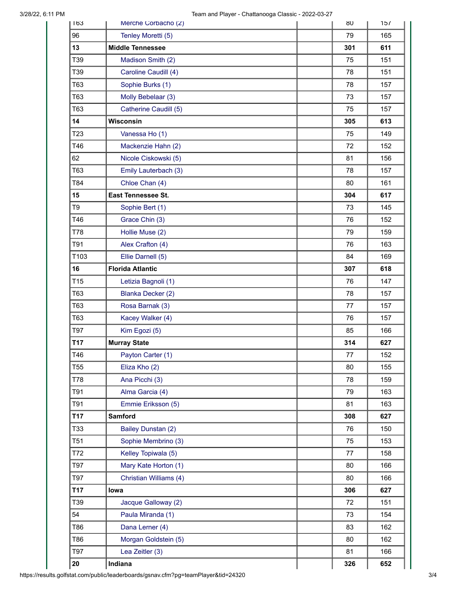| 163             | Merche Corbacho (2)     |     | 8U  | 15/ |
|-----------------|-------------------------|-----|-----|-----|
| 96              | Tenley Moretti (5)      |     | 79  | 165 |
| 13              | <b>Middle Tennessee</b> | 301 |     | 611 |
| T39             | Madison Smith (2)       |     | 75  | 151 |
| T39             | Caroline Caudill (4)    |     | 78  | 151 |
| T63             | Sophie Burks (1)        |     | 78  | 157 |
| T63             | Molly Bebelaar (3)      |     | 73  | 157 |
| T63             | Catherine Caudill (5)   |     | 75  | 157 |
| 14              | Wisconsin               |     | 305 | 613 |
| T <sub>23</sub> | Vanessa Ho (1)          |     | 75  | 149 |
| T46             | Mackenzie Hahn (2)      |     | 72  | 152 |
| 62              | Nicole Ciskowski (5)    | 81  |     | 156 |
| T63             | Emily Lauterbach (3)    |     | 78  | 157 |
| T84             | Chloe Chan (4)          |     | 80  | 161 |
| 15              | East Tennessee St.      |     | 304 | 617 |
| T <sub>9</sub>  | Sophie Bert (1)         |     | 73  | 145 |
| T46             | Grace Chin (3)          |     | 76  | 152 |
| T78             | Hollie Muse (2)         |     | 79  | 159 |
| T91             | Alex Crafton (4)        |     | 76  | 163 |
| T103            | Ellie Darnell (5)       |     | 84  | 169 |
| 16              | <b>Florida Atlantic</b> | 307 |     | 618 |
| T15             | Letizia Bagnoli (1)     |     | 76  | 147 |
| T63             | Blanka Decker (2)       |     | 78  | 157 |
| T63             | Rosa Barnak (3)         |     | 77  | 157 |
| T63             | Kacey Walker (4)        |     | 76  | 157 |
| T97             | Kim Egozi (5)           |     | 85  | 166 |
| T17             | <b>Murray State</b>     |     | 314 | 627 |
| T46             | Payton Carter (1)       |     | 77  | 152 |
| T <sub>55</sub> | Eliza Kho (2)           |     | 80  | 155 |
| T78             | Ana Picchi (3)          |     | 78  | 159 |
| T91             | Alma Garcia (4)         |     | 79  | 163 |
| T91             | Emmie Eriksson (5)      | 81  |     | 163 |
| T17             | <b>Samford</b>          |     | 308 | 627 |
| T33             | Bailey Dunstan (2)      |     | 76  | 150 |
| T <sub>51</sub> | Sophie Membrino (3)     |     | 75  | 153 |
| T72             | Kelley Topiwala (5)     |     | 77  | 158 |
| T97             | Mary Kate Horton (1)    |     | 80  | 166 |
| T97             | Christian Williams (4)  |     | 80  | 166 |
| T17             | lowa                    |     | 306 | 627 |
| T39             | Jacque Galloway (2)     |     | 72  | 151 |
| 54              | Paula Miranda (1)       |     | 73  | 154 |
| T86             | Dana Lerner (4)         |     | 83  | 162 |
| T86             | Morgan Goldstein (5)    |     | 80  | 162 |
| T97             | Lea Zeitler (3)         | 81  |     | 166 |
| 20              | Indiana                 |     | 326 | 652 |

https://results.golfstat.com/public/leaderboards/gsnav.cfm?pg=teamPlayer&tid=24320 3/4